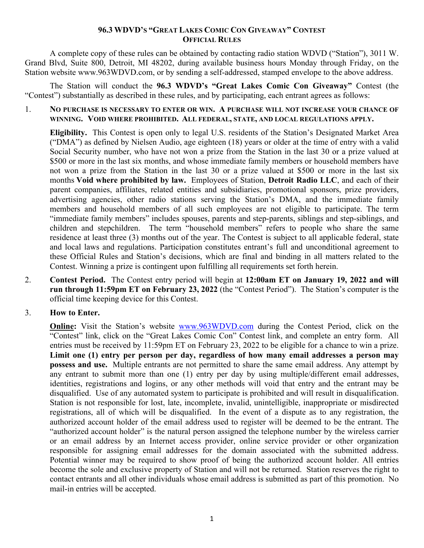## **96.3 WDVD'S "GREAT LAKES COMIC CON GIVEAWAY" CONTEST OFFICIAL RULES**

A complete copy of these rules can be obtained by contacting radio station WDVD ("Station"), 3011 W. Grand Blvd, Suite 800, Detroit, MI 48202, during available business hours Monday through Friday, on the Station website www.963WDVD.com, or by sending a self-addressed, stamped envelope to the above address.

The Station will conduct the **96.3 WDVD's "Great Lakes Comic Con Giveaway"** Contest (the "Contest") substantially as described in these rules, and by participating, each entrant agrees as follows:

## 1. **NO PURCHASE IS NECESSARY TO ENTER OR WIN. A PURCHASE WILL NOT INCREASE YOUR CHANCE OF WINNING. VOID WHERE PROHIBITED. ALL FEDERAL, STATE, AND LOCAL REGULATIONS APPLY.**

**Eligibility.** This Contest is open only to legal U.S. residents of the Station's Designated Market Area ("DMA") as defined by Nielsen Audio, age eighteen (18) years or older at the time of entry with a valid Social Security number, who have not won a prize from the Station in the last 30 or a prize valued at \$500 or more in the last six months, and whose immediate family members or household members have not won a prize from the Station in the last 30 or a prize valued at \$500 or more in the last six months **Void where prohibited by law.** Employees of Station, **Detroit Radio LLC**, and each of their parent companies, affiliates, related entities and subsidiaries, promotional sponsors, prize providers, advertising agencies, other radio stations serving the Station's DMA, and the immediate family members and household members of all such employees are not eligible to participate. The term "immediate family members" includes spouses, parents and step-parents, siblings and step-siblings, and children and stepchildren. The term "household members" refers to people who share the same residence at least three (3) months out of the year. The Contest is subject to all applicable federal, state and local laws and regulations. Participation constitutes entrant's full and unconditional agreement to these Official Rules and Station's decisions, which are final and binding in all matters related to the Contest. Winning a prize is contingent upon fulfilling all requirements set forth herein.

2. **Contest Period.** The Contest entry period will begin at **12:00am ET on January 19, 2022 and will run through 11:59pm ET on February 23, 2022** (the "Contest Period"). The Station's computer is the official time keeping device for this Contest.

## 3. **How to Enter.**

**Online:** Visit the Station's website [www.963WDVD.com](http://www.963wdvd.com/) during the Contest Period, click on the "Contest" link, click on the "Great Lakes Comic Con" Contest link, and complete an entry form. All entries must be received by 11:59pm ET on February 23, 2022 to be eligible for a chance to win a prize. **Limit one (1) entry per person per day, regardless of how many email addresses a person may possess and use.** Multiple entrants are not permitted to share the same email address. Any attempt by any entrant to submit more than one (1) entry per day by using multiple/different email addresses, identities, registrations and logins, or any other methods will void that entry and the entrant may be disqualified. Use of any automated system to participate is prohibited and will result in disqualification. Station is not responsible for lost, late, incomplete, invalid, unintelligible, inappropriate or misdirected registrations, all of which will be disqualified. In the event of a dispute as to any registration, the authorized account holder of the email address used to register will be deemed to be the entrant. The "authorized account holder" is the natural person assigned the telephone number by the wireless carrier or an email address by an Internet access provider, online service provider or other organization responsible for assigning email addresses for the domain associated with the submitted address. Potential winner may be required to show proof of being the authorized account holder. All entries become the sole and exclusive property of Station and will not be returned. Station reserves the right to contact entrants and all other individuals whose email address is submitted as part of this promotion. No mail-in entries will be accepted.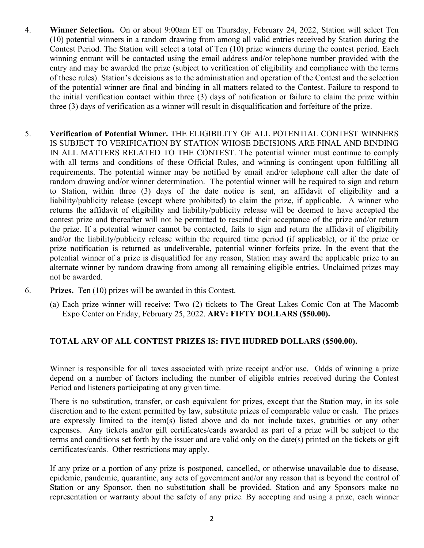- 4. **Winner Selection.** On or about 9:00am ET on Thursday, February 24, 2022, Station will select Ten (10) potential winners in a random drawing from among all valid entries received by Station during the Contest Period. The Station will select a total of Ten (10) prize winners during the contest period. Each winning entrant will be contacted using the email address and/or telephone number provided with the entry and may be awarded the prize (subject to verification of eligibility and compliance with the terms of these rules). Station's decisions as to the administration and operation of the Contest and the selection of the potential winner are final and binding in all matters related to the Contest. Failure to respond to the initial verification contact within three (3) days of notification or failure to claim the prize within three (3) days of verification as a winner will result in disqualification and forfeiture of the prize.
- 5. **Verification of Potential Winner.** THE ELIGIBILITY OF ALL POTENTIAL CONTEST WINNERS IS SUBJECT TO VERIFICATION BY STATION WHOSE DECISIONS ARE FINAL AND BINDING IN ALL MATTERS RELATED TO THE CONTEST. The potential winner must continue to comply with all terms and conditions of these Official Rules, and winning is contingent upon fulfilling all requirements. The potential winner may be notified by email and/or telephone call after the date of random drawing and/or winner determination. The potential winner will be required to sign and return to Station, within three (3) days of the date notice is sent, an affidavit of eligibility and a liability/publicity release (except where prohibited) to claim the prize, if applicable. A winner who returns the affidavit of eligibility and liability/publicity release will be deemed to have accepted the contest prize and thereafter will not be permitted to rescind their acceptance of the prize and/or return the prize. If a potential winner cannot be contacted, fails to sign and return the affidavit of eligibility and/or the liability/publicity release within the required time period (if applicable), or if the prize or prize notification is returned as undeliverable, potential winner forfeits prize. In the event that the potential winner of a prize is disqualified for any reason, Station may award the applicable prize to an alternate winner by random drawing from among all remaining eligible entries. Unclaimed prizes may not be awarded.
- 6. **Prizes.** Ten (10) prizes will be awarded in this Contest.
	- (a) Each prize winner will receive: Two (2) tickets to The Great Lakes Comic Con at The Macomb Expo Center on Friday, February 25, 2022. **ARV: FIFTY DOLLARS (\$50.00).**

## **TOTAL ARV OF ALL CONTEST PRIZES IS: FIVE HUDRED DOLLARS (\$500.00).**

Winner is responsible for all taxes associated with prize receipt and/or use. Odds of winning a prize depend on a number of factors including the number of eligible entries received during the Contest Period and listeners participating at any given time.

There is no substitution, transfer, or cash equivalent for prizes, except that the Station may, in its sole discretion and to the extent permitted by law, substitute prizes of comparable value or cash. The prizes are expressly limited to the item(s) listed above and do not include taxes, gratuities or any other expenses. Any tickets and/or gift certificates/cards awarded as part of a prize will be subject to the terms and conditions set forth by the issuer and are valid only on the date(s) printed on the tickets or gift certificates/cards. Other restrictions may apply.

If any prize or a portion of any prize is postponed, cancelled, or otherwise unavailable due to disease, epidemic, pandemic, quarantine, any acts of government and/or any reason that is beyond the control of Station or any Sponsor, then no substitution shall be provided. Station and any Sponsors make no representation or warranty about the safety of any prize. By accepting and using a prize, each winner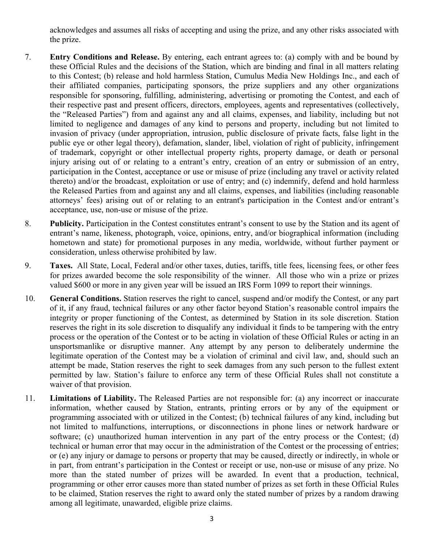acknowledges and assumes all risks of accepting and using the prize, and any other risks associated with the prize.

- 7. **Entry Conditions and Release.** By entering, each entrant agrees to: (a) comply with and be bound by these Official Rules and the decisions of the Station, which are binding and final in all matters relating to this Contest; (b) release and hold harmless Station, Cumulus Media New Holdings Inc., and each of their affiliated companies, participating sponsors, the prize suppliers and any other organizations responsible for sponsoring, fulfilling, administering, advertising or promoting the Contest, and each of their respective past and present officers, directors, employees, agents and representatives (collectively, the "Released Parties") from and against any and all claims, expenses, and liability, including but not limited to negligence and damages of any kind to persons and property, including but not limited to invasion of privacy (under appropriation, intrusion, public disclosure of private facts, false light in the public eye or other legal theory), defamation, slander, libel, violation of right of publicity, infringement of trademark, copyright or other intellectual property rights, property damage, or death or personal injury arising out of or relating to a entrant's entry, creation of an entry or submission of an entry, participation in the Contest, acceptance or use or misuse of prize (including any travel or activity related thereto) and/or the broadcast, exploitation or use of entry; and (c) indemnify, defend and hold harmless the Released Parties from and against any and all claims, expenses, and liabilities (including reasonable attorneys' fees) arising out of or relating to an entrant's participation in the Contest and/or entrant's acceptance, use, non-use or misuse of the prize.
- 8. **Publicity.** Participation in the Contest constitutes entrant's consent to use by the Station and its agent of entrant's name, likeness, photograph, voice, opinions, entry, and/or biographical information (including hometown and state) for promotional purposes in any media, worldwide, without further payment or consideration, unless otherwise prohibited by law.
- 9. **Taxes.** All State, Local, Federal and/or other taxes, duties, tariffs, title fees, licensing fees, or other fees for prizes awarded become the sole responsibility of the winner. All those who win a prize or prizes valued \$600 or more in any given year will be issued an IRS Form 1099 to report their winnings.
- 10. **General Conditions.** Station reserves the right to cancel, suspend and/or modify the Contest, or any part of it, if any fraud, technical failures or any other factor beyond Station's reasonable control impairs the integrity or proper functioning of the Contest, as determined by Station in its sole discretion. Station reserves the right in its sole discretion to disqualify any individual it finds to be tampering with the entry process or the operation of the Contest or to be acting in violation of these Official Rules or acting in an unsportsmanlike or disruptive manner. Any attempt by any person to deliberately undermine the legitimate operation of the Contest may be a violation of criminal and civil law, and, should such an attempt be made, Station reserves the right to seek damages from any such person to the fullest extent permitted by law. Station's failure to enforce any term of these Official Rules shall not constitute a waiver of that provision.
- 11. **Limitations of Liability.** The Released Parties are not responsible for: (a) any incorrect or inaccurate information, whether caused by Station, entrants, printing errors or by any of the equipment or programming associated with or utilized in the Contest; (b) technical failures of any kind, including but not limited to malfunctions, interruptions, or disconnections in phone lines or network hardware or software; (c) unauthorized human intervention in any part of the entry process or the Contest; (d) technical or human error that may occur in the administration of the Contest or the processing of entries; or (e) any injury or damage to persons or property that may be caused, directly or indirectly, in whole or in part, from entrant's participation in the Contest or receipt or use, non-use or misuse of any prize. No more than the stated number of prizes will be awarded. In event that a production, technical, programming or other error causes more than stated number of prizes as set forth in these Official Rules to be claimed, Station reserves the right to award only the stated number of prizes by a random drawing among all legitimate, unawarded, eligible prize claims.